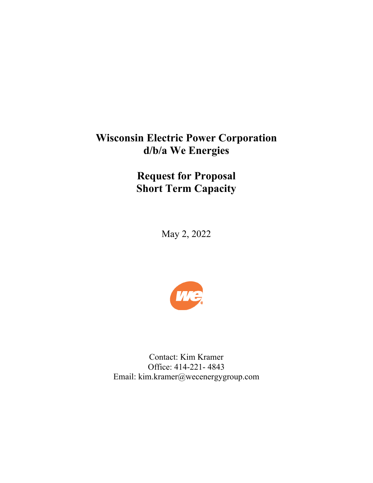# **Wisconsin Electric Power Corporation d/b/a We Energies**

**Request for Proposal Short Term Capacity** 

May 2, 2022



Contact: Kim Kramer Office: 414-221- 4843 Email: kim.kramer@wecenergygroup.com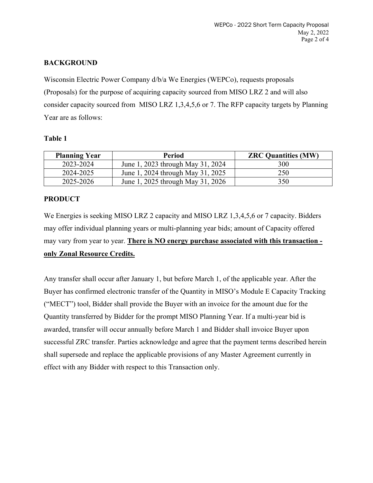# **BACKGROUND**

Wisconsin Electric Power Company d/b/a We Energies (WEPCo), requests proposals (Proposals) for the purpose of acquiring capacity sourced from MISO LRZ 2 and will also consider capacity sourced from MISO LRZ 1,3,4,5,6 or 7. The RFP capacity targets by Planning Year are as follows:

#### **Table 1**

| <b>Planning Year</b> | <b>Period</b>                     | <b>ZRC Quantities (MW)</b> |
|----------------------|-----------------------------------|----------------------------|
| 2023-2024            | June 1, 2023 through May 31, 2024 | 300                        |
| 2024-2025            | June 1, 2024 through May 31, 2025 | 250                        |
| 2025-2026            | June 1, 2025 through May 31, 2026 | 350                        |

## **PRODUCT**

We Energies is seeking MISO LRZ 2 capacity and MISO LRZ 1,3,4,5,6 or 7 capacity. Bidders may offer individual planning years or multi-planning year bids; amount of Capacity offered may vary from year to year. **There is NO energy purchase associated with this transaction only Zonal Resource Credits.** 

Any transfer shall occur after January 1, but before March 1, of the applicable year. After the Buyer has confirmed electronic transfer of the Quantity in MISO's Module E Capacity Tracking ("MECT") tool, Bidder shall provide the Buyer with an invoice for the amount due for the Quantity transferred by Bidder for the prompt MISO Planning Year. If a multi-year bid is awarded, transfer will occur annually before March 1 and Bidder shall invoice Buyer upon successful ZRC transfer. Parties acknowledge and agree that the payment terms described herein shall supersede and replace the applicable provisions of any Master Agreement currently in effect with any Bidder with respect to this Transaction only.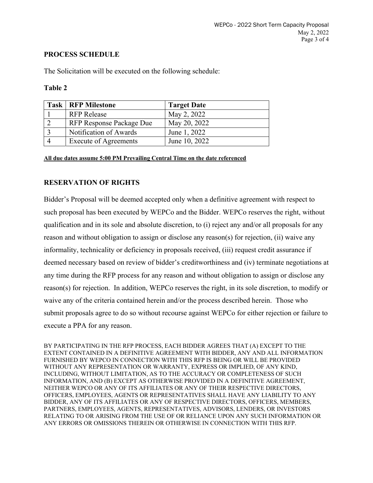#### **PROCESS SCHEDULE**

The Solicitation will be executed on the following schedule:

#### **Table 2**

| <b>Task   RFP Milestone</b>  | <b>Target Date</b> |
|------------------------------|--------------------|
| <b>RFP</b> Release           | May 2, 2022        |
| RFP Response Package Due     | May 20, 2022       |
| Notification of Awards       | June 1, 2022       |
| <b>Execute of Agreements</b> | June 10, 2022      |

**All due dates assume 5:00 PM Prevailing Central Time on the date referenced** 

# **RESERVATION OF RIGHTS**

Bidder's Proposal will be deemed accepted only when a definitive agreement with respect to such proposal has been executed by WEPCo and the Bidder. WEPCo reserves the right, without qualification and in its sole and absolute discretion, to (i) reject any and/or all proposals for any reason and without obligation to assign or disclose any reason(s) for rejection, (ii) waive any informality, technicality or deficiency in proposals received, (iii) request credit assurance if deemed necessary based on review of bidder's creditworthiness and (iv) terminate negotiations at any time during the RFP process for any reason and without obligation to assign or disclose any reason(s) for rejection. In addition, WEPCo reserves the right, in its sole discretion, to modify or waive any of the criteria contained herein and/or the process described herein. Those who submit proposals agree to do so without recourse against WEPCo for either rejection or failure to execute a PPA for any reason.

BY PARTICIPATING IN THE RFP PROCESS, EACH BIDDER AGREES THAT (A) EXCEPT TO THE EXTENT CONTAINED IN A DEFINITIVE AGREEMENT WITH BIDDER, ANY AND ALL INFORMATION FURNISHED BY WEPCO IN CONNECTION WITH THIS RFP IS BEING OR WILL BE PROVIDED WITHOUT ANY REPRESENTATION OR WARRANTY, EXPRESS OR IMPLIED, OF ANY KIND, INCLUDING, WITHOUT LIMITATION, AS TO THE ACCURACY OR COMPLETENESS OF SUCH INFORMATION, AND (B) EXCEPT AS OTHERWISE PROVIDED IN A DEFINITIVE AGREEMENT, NEITHER WEPCO OR ANY OF ITS AFFILIATES OR ANY OF THEIR RESPECTIVE DIRECTORS, OFFICERS, EMPLOYEES, AGENTS OR REPRESENTATIVES SHALL HAVE ANY LIABILITY TO ANY BIDDER, ANY OF ITS AFFILIATES OR ANY OF RESPECTIVE DIRECTORS, OFFICERS, MEMBERS, PARTNERS, EMPLOYEES, AGENTS, REPRESENTATIVES, ADVISORS, LENDERS, OR INVESTORS RELATING TO OR ARISING FROM THE USE OF OR RELIANCE UPON ANY SUCH INFORMATION OR ANY ERRORS OR OMISSIONS THEREIN OR OTHERWISE IN CONNECTION WITH THIS RFP.